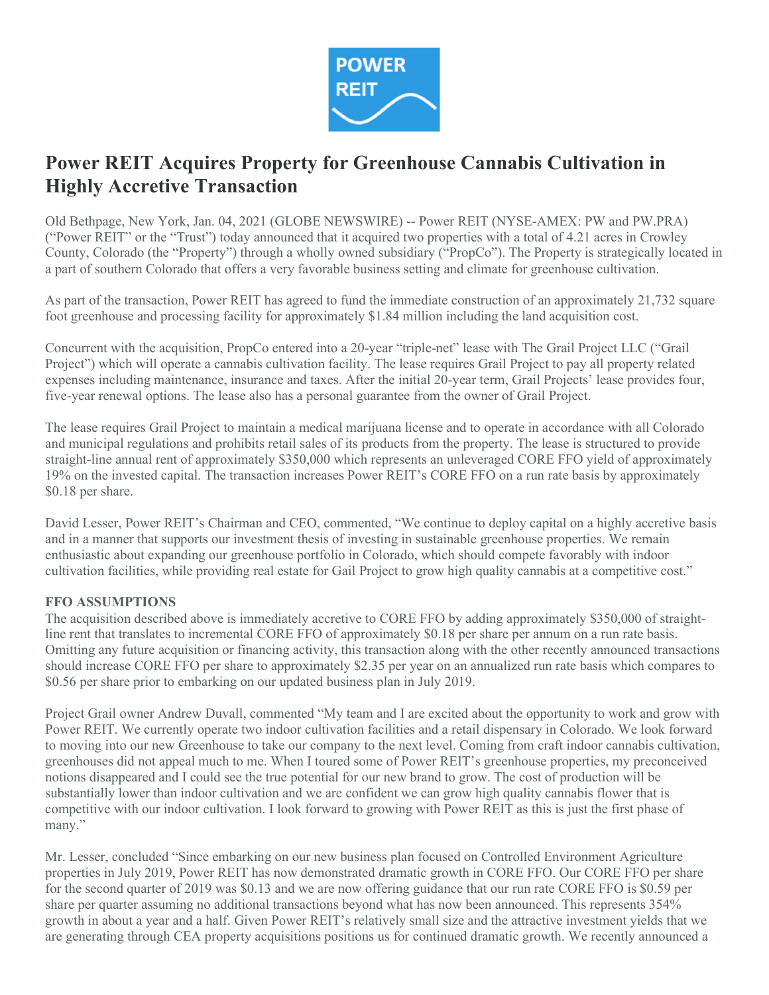

# Power REIT Acquires Property for Greenhouse Cannabis Cultivation in Highly Accretive Transaction

Old Bethpage, New York, Jan. 04, 2021 (GLOBE NEWSWIRE) -- Power REIT (NYSE-AMEX: PW and PW.PRA) ("Power REIT" or the "Trust") today announced that it acquired two properties with a total of 4.21 acres in Crowley County, Colorado (the "Property") through a wholly owned subsidiary ("PropCo"). The Property is strategically located in a part of southern Colorado that offers a very favorable business setting and climate for greenhouse cultivation.

As part of the transaction, Power REIT has agreed to fund the immediate construction of an approximately 21,732 square foot greenhouse and processing facility for approximately \$1.84 million including the land acquisition cost.

Concurrent with the acquisition, PropCo entered into a 20-year "triple-net" lease with The Grail Project LLC ("Grail Project") which will operate a cannabis cultivation facility. The lease requires Grail Project to pay all property related expenses including maintenance, insurance and taxes. After the initial 20-year term, Grail Projects' lease provides four, five-year renewal options. The lease also has a personal guarantee from the owner of Grail Project.

The lease requires Grail Project to maintain a medical marijuana license and to operate in accordance with all Colorado and municipal regulations and prohibits retail sales of its products from the property. The lease is structured to provide straight-line annual rent of approximately \$350,000 which represents an unleveraged CORE FFO yield of approximately 19% on the invested capital. The transaction increases Power REIT's CORE FFO on a run rate basis by approximately \$0.18 per share.

David Lesser, Power REIT's Chairman and CEO, commented, "We continue to deploy capital on a highly accretive basis and in a manner that supports our investment thesis of investing in sustainable greenhouse properties. We remain enthusiastic about expanding our greenhouse portfolio in Colorado, which should compete favorably with indoor cultivation facilities, while providing real estate for Gail Project to grow high quality cannabis at a competitive cost."

# FFO ASSUMPTIONS

The acquisition described above is immediately accretive to CORE FFO by adding approximately \$350,000 of straightline rent that translates to incremental CORE FFO of approximately \$0.18 per share per annum on a run rate basis. Omitting any future acquisition or financing activity, this transaction along with the other recently announced transactions should increase CORE FFO per share to approximately \$2.35 per year on an annualized run rate basis which compares to \$0.56 per share prior to embarking on our updated business plan in July 2019.

Project Grail owner Andrew Duvall, commented "My team and I are excited about the opportunity to work and grow with Power REIT. We currently operate two indoor cultivation facilities and a retail dispensary in Colorado. We look forward to moving into our new Greenhouse to take our company to the next level. Coming from craft indoor cannabis cultivation, greenhouses did not appeal much to me. When I toured some of Power REIT's greenhouse properties, my preconceived notions disappeared and I could see the true potential for our new brand to grow. The cost of production will be substantially lower than indoor cultivation and we are confident we can grow high quality cannabis flower that is competitive with our indoor cultivation. I look forward to growing with Power REIT as this is just the first phase of many."

Mr. Lesser, concluded "Since embarking on our new business plan focused on Controlled Environment Agriculture properties in July 2019, Power REIT has now demonstrated dramatic growth in CORE FFO. Our CORE FFO per share for the second quarter of 2019 was \$0.13 and we are now offering guidance that our run rate CORE FFO is \$0.59 per share per quarter assuming no additional transactions beyond what has now been announced. This represents 354% growth in about a year and a half. Given Power REIT's relatively small size and the attractive investment yields that we are generating through CEA property acquisitions positions us for continued dramatic growth. We recently announced a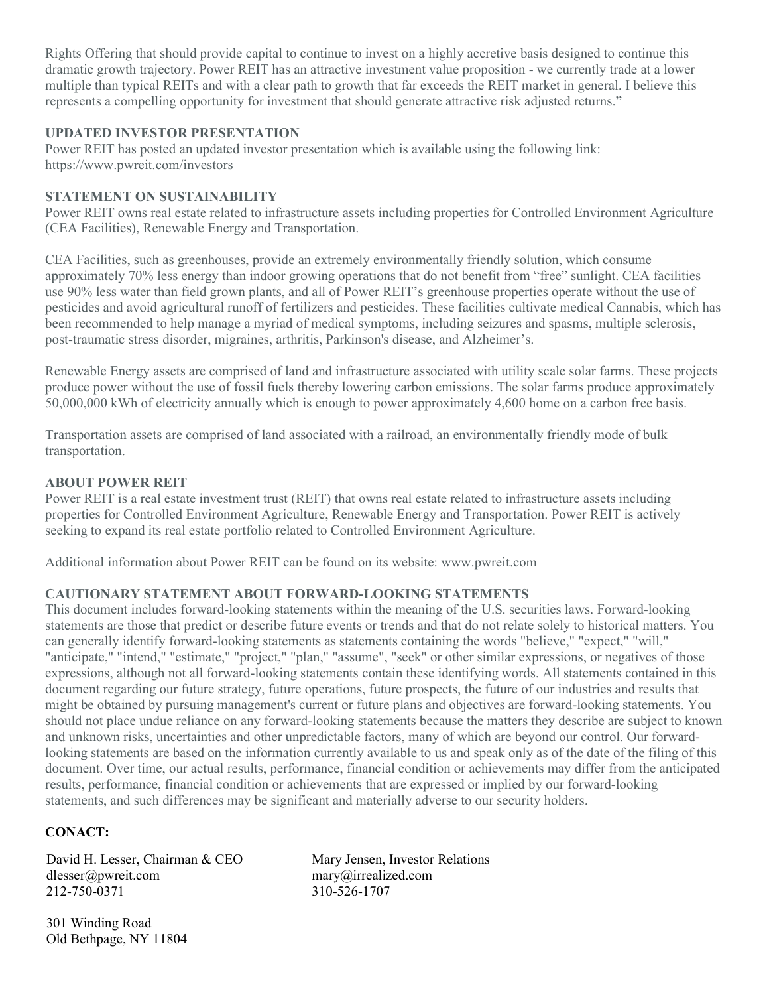Rights Offering that should provide capital to continue to invest on a highly accretive basis designed to continue this dramatic growth trajectory. Power REIT has an attractive investment value proposition - we currently trade at a lower multiple than typical REITs and with a clear path to growth that far exceeds the REIT market in general. I believe this represents a compelling opportunity for investment that should generate attractive risk adjusted returns."

## UPDATED INVESTOR PRESENTATION

Power REIT has posted an updated investor presentation which is available using the following link: https://www.pwreit.com/investors

#### STATEMENT ON SUSTAINABILITY

Power REIT owns real estate related to infrastructure assets including properties for Controlled Environment Agriculture (CEA Facilities), Renewable Energy and Transportation.

CEA Facilities, such as greenhouses, provide an extremely environmentally friendly solution, which consume approximately 70% less energy than indoor growing operations that do not benefit from "free" sunlight. CEA facilities use 90% less water than field grown plants, and all of Power REIT's greenhouse properties operate without the use of pesticides and avoid agricultural runoff of fertilizers and pesticides. These facilities cultivate medical Cannabis, which has been recommended to help manage a myriad of medical symptoms, including seizures and spasms, multiple sclerosis, post-traumatic stress disorder, migraines, arthritis, Parkinson's disease, and Alzheimer's.

Renewable Energy assets are comprised of land and infrastructure associated with utility scale solar farms. These projects produce power without the use of fossil fuels thereby lowering carbon emissions. The solar farms produce approximately 50,000,000 kWh of electricity annually which is enough to power approximately 4,600 home on a carbon free basis.

Transportation assets are comprised of land associated with a railroad, an environmentally friendly mode of bulk transportation.

## ABOUT POWER REIT

Power REIT is a real estate investment trust (REIT) that owns real estate related to infrastructure assets including properties for Controlled Environment Agriculture, Renewable Energy and Transportation. Power REIT is actively seeking to expand its real estate portfolio related to Controlled Environment Agriculture.

Additional information about Power REIT can be found on its website: www.pwreit.com

# CAUTIONARY STATEMENT ABOUT FORWARD-LOOKING STATEMENTS

This document includes forward-looking statements within the meaning of the U.S. securities laws. Forward-looking statements are those that predict or describe future events or trends and that do not relate solely to historical matters. You can generally identify forward-looking statements as statements containing the words "believe," "expect," "will," "anticipate," "intend," "estimate," "project," "plan," "assume", "seek" or other similar expressions, or negatives of those expressions, although not all forward-looking statements contain these identifying words. All statements contained in this document regarding our future strategy, future operations, future prospects, the future of our industries and results that might be obtained by pursuing management's current or future plans and objectives are forward-looking statements. You should not place undue reliance on any forward-looking statements because the matters they describe are subject to known and unknown risks, uncertainties and other unpredictable factors, many of which are beyond our control. Our forwardlooking statements are based on the information currently available to us and speak only as of the date of the filing of this document. Over time, our actual results, performance, financial condition or achievements may differ from the anticipated results, performance, financial condition or achievements that are expressed or implied by our forward-looking statements, and such differences may be significant and materially adverse to our security holders.

# CONACT:

David H. Lesser, Chairman & CEO Mary Jensen, Investor Relations dlesser@pwreit.com mary@irrealized.com 212-750-0371 310-526-1707

301 Winding Road Old Bethpage, NY 11804